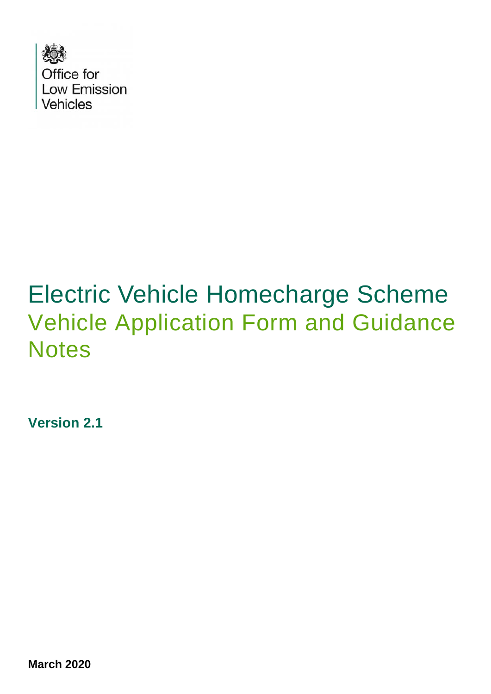

# Electric Vehicle Homecharge Scheme Vehicle Application Form and Guidance **Notes**

**Version 2.1**

**March 2020**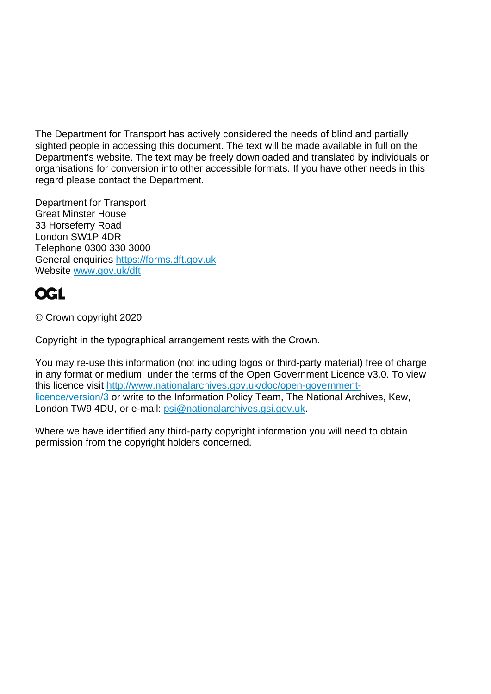The Department for Transport has actively considered the needs of blind and partially sighted people in accessing this document. The text will be made available in full on the Department's website. The text may be freely downloaded and translated by individuals or organisations for conversion into other accessible formats. If you have other needs in this regard please contact the Department.

Department for Transport Great Minster House 33 Horseferry Road London SW1P 4DR Telephone 0300 330 3000 General enquiries [https://forms.dft.gov.uk](https://forms.dft.gov.uk/) Website [www.gov.uk/dft](http://www.gov.uk/dft)

## **OGL**

Crown copyright 2020

Copyright in the typographical arrangement rests with the Crown.

You may re-use this information (not including logos or third-party material) free of charge in any format or medium, under the terms of the Open Government Licence v3.0. To view this licence visit [http://www.nationalarchives.gov.uk/doc/open-government](http://www.nationalarchives.gov.uk/doc/open-government-licence/version/3)[licence/version/3](http://www.nationalarchives.gov.uk/doc/open-government-licence/version/3) or write to the Information Policy Team, The National Archives, Kew, London TW9 4DU, or e-mail: [psi@nationalarchives.gsi.gov.uk.](mailto:psi@nationalarchives.gsi.gov.uk)

Where we have identified any third-party copyright information you will need to obtain permission from the copyright holders concerned.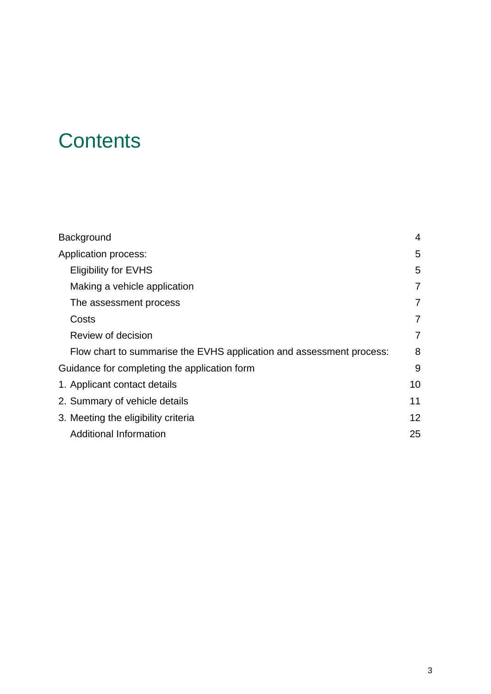# **Contents**

| <b>Background</b>                                                    | 4               |
|----------------------------------------------------------------------|-----------------|
| Application process:                                                 | 5               |
| <b>Eligibility for EVHS</b>                                          | 5               |
| Making a vehicle application                                         | $\overline{7}$  |
| The assessment process                                               | $\overline{7}$  |
| Costs                                                                | 7               |
| Review of decision                                                   | 7               |
| Flow chart to summarise the EVHS application and assessment process: | 8               |
| Guidance for completing the application form                         | 9               |
| 1. Applicant contact details                                         | 10              |
| 2. Summary of vehicle details                                        | 11              |
| 3. Meeting the eligibility criteria                                  | 12 <sup>2</sup> |
| Additional Information                                               | 25              |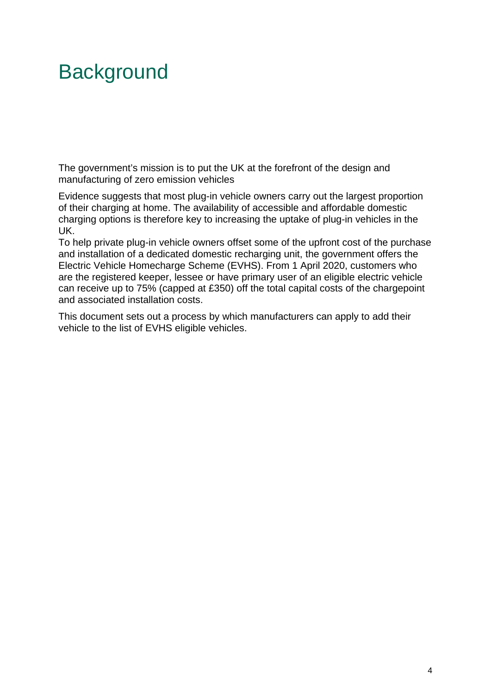# **Background**

The government's mission is to put the UK at the forefront of the design and manufacturing of zero emission vehicles

Evidence suggests that most plug-in vehicle owners carry out the largest proportion of their charging at home. The availability of accessible and affordable domestic charging options is therefore key to increasing the uptake of plug-in vehicles in the UK.

To help private plug-in vehicle owners offset some of the upfront cost of the purchase and installation of a dedicated domestic recharging unit, the government offers the Electric Vehicle Homecharge Scheme (EVHS). From 1 April 2020, customers who are the registered keeper, lessee or have primary user of an eligible electric vehicle can receive up to 75% (capped at £350) off the total capital costs of the chargepoint and associated installation costs.

This document sets out a process by which manufacturers can apply to add their vehicle to the list of EVHS eligible vehicles.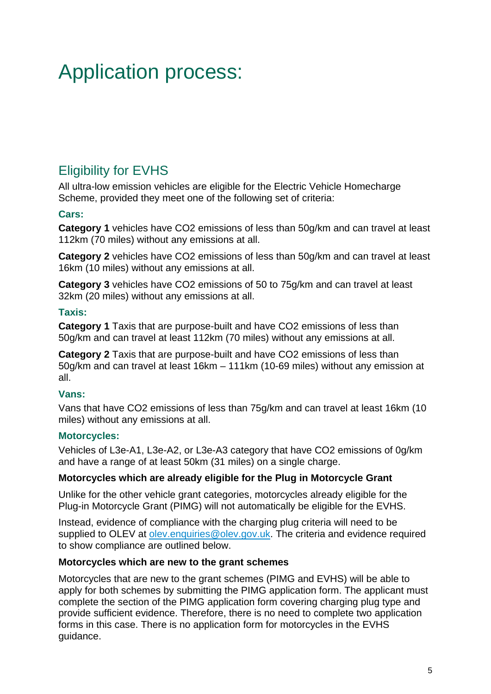# Application process:

## Eligibility for EVHS

All ultra-low emission vehicles are eligible for the Electric Vehicle Homecharge Scheme, provided they meet one of the following set of criteria:

#### **Cars:**

**Category 1** vehicles have CO2 emissions of less than 50g/km and can travel at least 112km (70 miles) without any emissions at all.

**Category 2** vehicles have CO2 emissions of less than 50g/km and can travel at least 16km (10 miles) without any emissions at all.

**Category 3** vehicles have CO2 emissions of 50 to 75g/km and can travel at least 32km (20 miles) without any emissions at all.

#### **Taxis:**

**Category 1** Taxis that are purpose-built and have CO2 emissions of less than 50g/km and can travel at least 112km (70 miles) without any emissions at all.

**Category 2** Taxis that are purpose-built and have CO2 emissions of less than 50g/km and can travel at least 16km – 111km (10-69 miles) without any emission at all.

#### **Vans:**

Vans that have CO2 emissions of less than 75g/km and can travel at least 16km (10 miles) without any emissions at all.

#### **Motorcycles:**

Vehicles of L3e-A1, L3e-A2, or L3e-A3 category that have CO2 emissions of 0g/km and have a range of at least 50km (31 miles) on a single charge.

#### **Motorcycles which are already eligible for the Plug in Motorcycle Grant**

Unlike for the other vehicle grant categories, motorcycles already eligible for the Plug-in Motorcycle Grant (PIMG) will not automatically be eligible for the EVHS.

Instead, evidence of compliance with the charging plug criteria will need to be supplied to OLEV at [olev.enquiries@olev.gov.uk.](mailto:olev.enquiries@olev.gov.uk) The criteria and evidence required to show compliance are outlined below.

#### **Motorcycles which are new to the grant schemes**

Motorcycles that are new to the grant schemes (PIMG and EVHS) will be able to apply for both schemes by submitting the PIMG application form. The applicant must complete the section of the PIMG application form covering charging plug type and provide sufficient evidence. Therefore, there is no need to complete two application forms in this case. There is no application form for motorcycles in the EVHS guidance.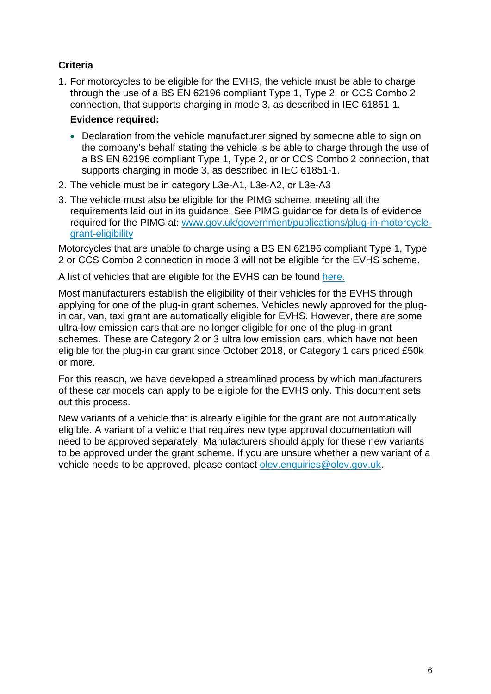#### **Criteria**

1. For motorcycles to be eligible for the EVHS, the vehicle must be able to charge through the use of a BS EN 62196 compliant Type 1, Type 2, or CCS Combo 2 connection, that supports charging in mode 3, as described in IEC 61851-1*.*

#### **Evidence required:**

- Declaration from the vehicle manufacturer signed by someone able to sign on the company's behalf stating the vehicle is be able to charge through the use of a BS EN 62196 compliant Type 1, Type 2, or or CCS Combo 2 connection, that supports charging in mode 3, as described in IEC 61851-1.
- 2. The vehicle must be in category L3e-A1, L3e-A2, or L3e-A3
- 3. The vehicle must also be eligible for the PIMG scheme, meeting all the requirements laid out in its guidance. See PIMG guidance for details of evidence required for the PIMG at: [www.gov.uk/government/publications/plug-in-motorcycle](http://www.gov.uk/government/publications/plug-in-motorcycle-grant-eligibility)[grant-eligibility](http://www.gov.uk/government/publications/plug-in-motorcycle-grant-eligibility)

Motorcycles that are unable to charge using a BS EN 62196 compliant Type 1, Type 2 or CCS Combo 2 connection in mode 3 will not be eligible for the EVHS scheme.

A list of vehicles that are eligible for the EVHS can be found [here.](https://www.gov.uk/government/publications/electric-vehicle-homecharge-scheme-eligible-vehicles)

Most manufacturers establish the eligibility of their vehicles for the EVHS through applying for one of the plug-in grant schemes. Vehicles newly approved for the plugin car, van, taxi grant are automatically eligible for EVHS. However, there are some ultra-low emission cars that are no longer eligible for one of the plug-in grant schemes. These are Category 2 or 3 ultra low emission cars, which have not been eligible for the plug-in car grant since October 2018, or Category 1 cars priced £50k or more.

For this reason, we have developed a streamlined process by which manufacturers of these car models can apply to be eligible for the EVHS only. This document sets out this process.

New variants of a vehicle that is already eligible for the grant are not automatically eligible. A variant of a vehicle that requires new type approval documentation will need to be approved separately. Manufacturers should apply for these new variants to be approved under the grant scheme. If you are unsure whether a new variant of a vehicle needs to be approved, please contact [olev.enquiries@olev.gov.uk.](mailto:olev.enquiries@olev.gov.uk)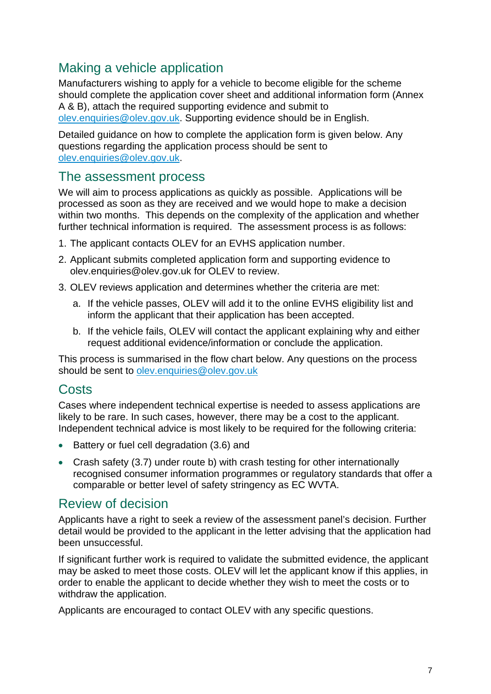## Making a vehicle application

Manufacturers wishing to apply for a vehicle to become eligible for the scheme should complete the application cover sheet and additional information form (Annex A & B), attach the required supporting evidence and submit to [olev.enquiries@olev.gov.uk.](mailto:olev.enquiries@olev.gov.uk) Supporting evidence should be in English.

Detailed guidance on how to complete the application form is given below. Any questions regarding the application process should be sent to [olev.enquiries@olev.gov.uk.](mailto:olev.enquiries@olev.gov.uk)

### The assessment process

We will aim to process applications as quickly as possible. Applications will be processed as soon as they are received and we would hope to make a decision within two months. This depends on the complexity of the application and whether further technical information is required. The assessment process is as follows:

- 1. The applicant contacts OLEV for an EVHS application number.
- 2. Applicant submits completed application form and supporting evidence to [olev.enquiries@olev.gov.uk](mailto:olev.enquiries@olev.gsi.gov.uk) for OLEV to review.
- 3. OLEV reviews application and determines whether the criteria are met:
	- a. If the vehicle passes, OLEV will add it to the online EVHS eligibility list and inform the applicant that their application has been accepted.
	- b. If the vehicle fails, OLEV will contact the applicant explaining why and either request additional evidence/information or conclude the application.

This process is summarised in the flow chart below. Any questions on the process should be sent to [olev.enquiries@olev.gov.uk](mailto:olev.enquiries@olev.gov.uk)

## Costs

Cases where independent technical expertise is needed to assess applications are likely to be rare. In such cases, however, there may be a cost to the applicant. Independent technical advice is most likely to be required for the following criteria:

- Battery or fuel cell degradation (3.6) and
- Crash safety (3.7) under route b) with crash testing for other internationally recognised consumer information programmes or regulatory standards that offer a comparable or better level of safety stringency as EC WVTA.

### Review of decision

Applicants have a right to seek a review of the assessment panel's decision. Further detail would be provided to the applicant in the letter advising that the application had been unsuccessful.

If significant further work is required to validate the submitted evidence, the applicant may be asked to meet those costs. OLEV will let the applicant know if this applies, in order to enable the applicant to decide whether they wish to meet the costs or to withdraw the application.

Applicants are encouraged to contact OLEV with any specific questions.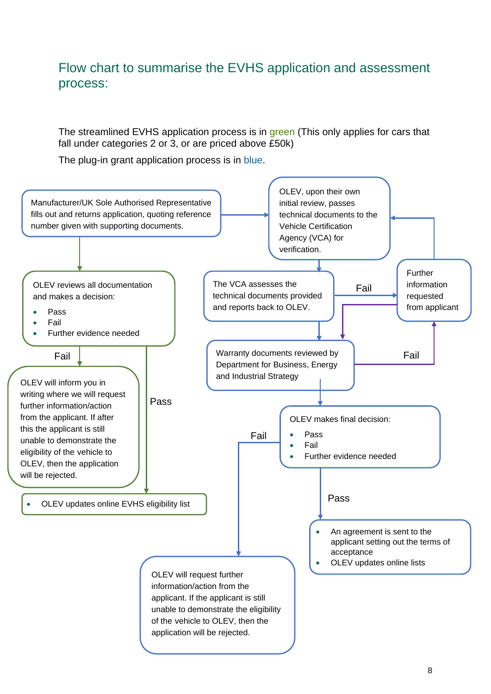## Flow chart to summarise the EVHS application and assessment process:

The streamlined EVHS application process is in green (This only applies for cars that fall under categories 2 or 3, or are priced above £50k)

The plug-in grant application process is in blue.

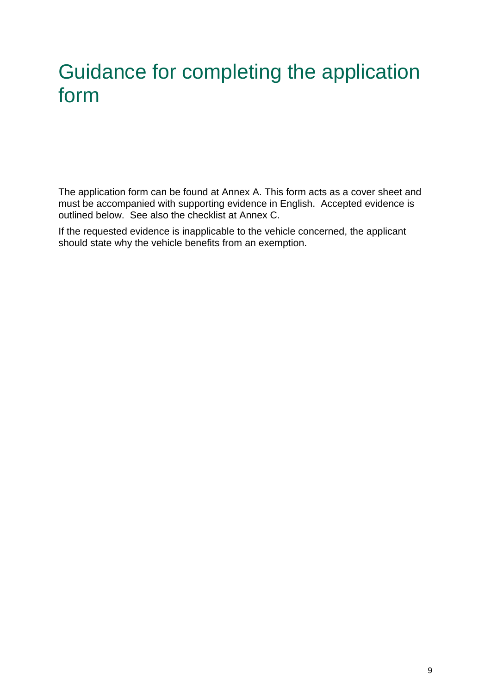# Guidance for completing the application form

The application form can be found at Annex A. This form acts as a cover sheet and must be accompanied with supporting evidence in English. Accepted evidence is outlined below. See also the checklist at Annex C.

If the requested evidence is inapplicable to the vehicle concerned, the applicant should state why the vehicle benefits from an exemption.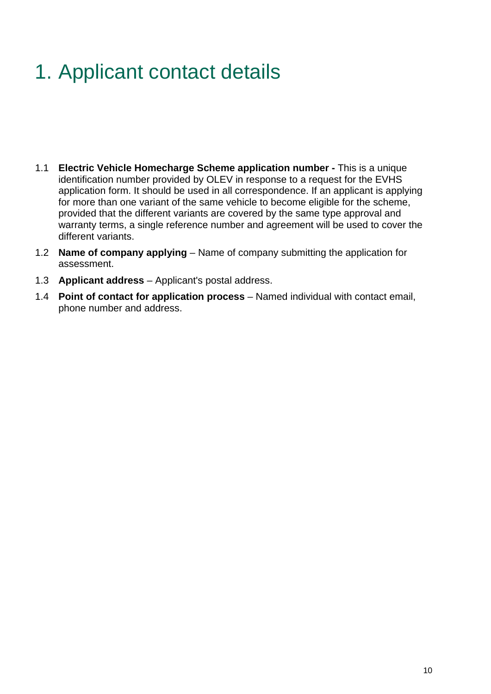# 1. Applicant contact details

- 1.1 **Electric Vehicle Homecharge Scheme application number** This is a unique identification number provided by OLEV in response to a request for the EVHS application form. It should be used in all correspondence. If an applicant is applying for more than one variant of the same vehicle to become eligible for the scheme, provided that the different variants are covered by the same type approval and warranty terms, a single reference number and agreement will be used to cover the different variants.
- 1.2 **Name of company applying** Name of company submitting the application for assessment.
- 1.3 **Applicant address** Applicant's postal address.
- 1.4 **Point of contact for application process** Named individual with contact email, phone number and address.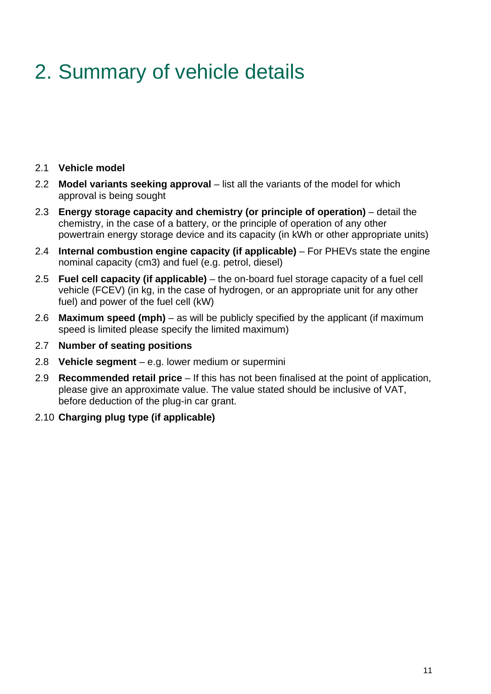# 2. Summary of vehicle details

#### 2.1 **Vehicle model**

- 2.2 **Model variants seeking approval** list all the variants of the model for which approval is being sought
- 2.3 **Energy storage capacity and chemistry (or principle of operation)** detail the chemistry, in the case of a battery, or the principle of operation of any other powertrain energy storage device and its capacity (in kWh or other appropriate units)
- 2.4 **Internal combustion engine capacity (if applicable)** For PHEVs state the engine nominal capacity (cm3) and fuel (e.g. petrol, diesel)
- 2.5 **Fuel cell capacity (if applicable)** the on-board fuel storage capacity of a fuel cell vehicle (FCEV) (in kg, in the case of hydrogen, or an appropriate unit for any other fuel) and power of the fuel cell (kW)
- 2.6 **Maximum speed (mph)** as will be publicly specified by the applicant (if maximum speed is limited please specify the limited maximum)
- 2.7 **Number of seating positions**
- 2.8 **Vehicle segment** e.g. lower medium or supermini
- 2.9 **Recommended retail price** If this has not been finalised at the point of application, please give an approximate value. The value stated should be inclusive of VAT, before deduction of the plug-in car grant.
- 2.10 **Charging plug type (if applicable)**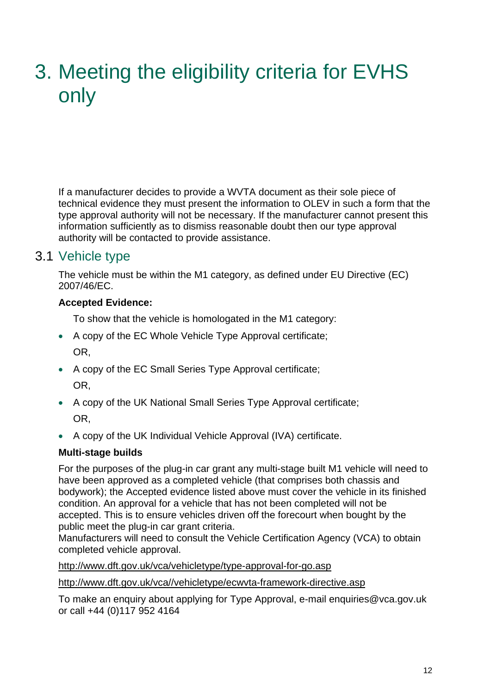# 3. Meeting the eligibility criteria for EVHS only

If a manufacturer decides to provide a WVTA document as their sole piece of technical evidence they must present the information to OLEV in such a form that the type approval authority will not be necessary. If the manufacturer cannot present this information sufficiently as to dismiss reasonable doubt then our type approval authority will be contacted to provide assistance.

### 3.1 Vehicle type

The vehicle must be within the M1 category, as defined under EU Directive (EC) 2007/46/EC.

#### **Accepted Evidence:**

To show that the vehicle is homologated in the M1 category:

- A copy of the EC Whole Vehicle Type Approval certificate; OR,
- A copy of the EC Small Series Type Approval certificate; OR,
- A copy of the UK National Small Series Type Approval certificate; OR,
- A copy of the UK Individual Vehicle Approval (IVA) certificate.

#### **Multi-stage builds**

For the purposes of the plug-in car grant any multi-stage built M1 vehicle will need to have been approved as a completed vehicle (that comprises both chassis and bodywork); the Accepted evidence listed above must cover the vehicle in its finished condition. An approval for a vehicle that has not been completed will not be accepted. This is to ensure vehicles driven off the forecourt when bought by the public meet the plug-in car grant criteria.

Manufacturers will need to consult the Vehicle Certification Agency (VCA) to obtain completed vehicle approval.

<http://www.dft.gov.uk/vca/vehicletype/type-approval-for-go.asp>

[http://www.dft.gov.uk/vca//vehicletype/ecwvta-framework-directive.asp](http://www.dft.gov.uk/vca/vehicletype/ecwvta-framework-directive.asp) 

To make an enquiry about applying for Type Approval, e-mail [enquiries@vca.gov.uk](mailto:enquiries@vca.gov.uk) or call +44 (0)117 952 4164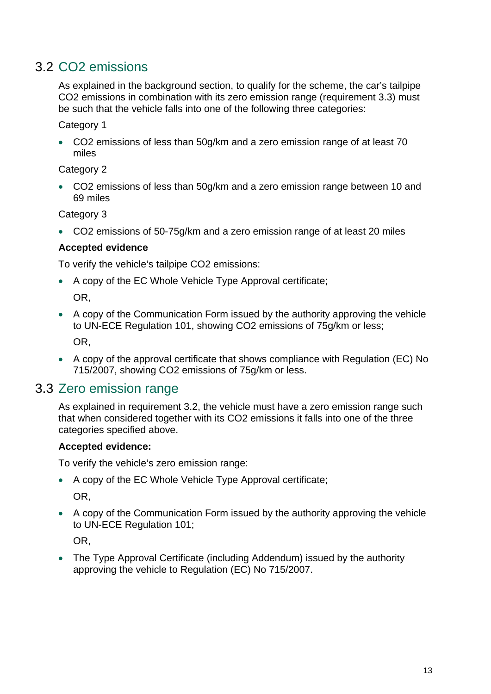## 3.2 CO2 emissions

As explained in the background section, to qualify for the scheme, the car's tailpipe CO2 emissions in combination with its zero emission range (requirement 3.3) must be such that the vehicle falls into one of the following three categories:

Category 1

• CO2 emissions of less than 50g/km and a zero emission range of at least 70 miles

Category 2

• CO2 emissions of less than 50g/km and a zero emission range between 10 and 69 miles

Category 3

• CO2 emissions of 50-75g/km and a zero emission range of at least 20 miles

#### **Accepted evidence**

To verify the vehicle's tailpipe CO2 emissions:

• A copy of the EC Whole Vehicle Type Approval certificate;

OR,

- A copy of the Communication Form issued by the authority approving the vehicle to UN-ECE Regulation 101, showing CO2 emissions of 75g/km or less; OR,
- A copy of the approval certificate that shows compliance with Regulation (EC) No 715/2007, showing CO2 emissions of 75g/km or less.

### 3.3 Zero emission range

As explained in requirement 3.2, the vehicle must have a zero emission range such that when considered together with its CO2 emissions it falls into one of the three categories specified above.

#### **Accepted evidence:**

To verify the vehicle's zero emission range:

- A copy of the EC Whole Vehicle Type Approval certificate; OR,
- A copy of the Communication Form issued by the authority approving the vehicle to UN-ECE Regulation 101;

OR,

• The Type Approval Certificate (including Addendum) issued by the authority approving the vehicle to Regulation (EC) No 715/2007.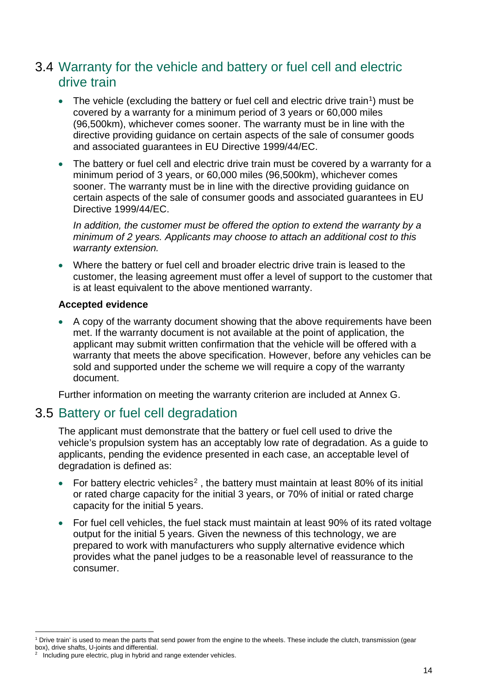## 3.4 Warranty for the vehicle and battery or fuel cell and electric drive train

- The vehicle (excluding the battery or fuel cell and electric drive train<sup>1</sup>) must be covered by a warranty for a minimum period of 3 years or 60,000 miles (96,500km), whichever comes sooner. The warranty must be in line with the directive providing guidance on certain aspects of the sale of consumer goods and associated guarantees in EU Directive 1999/44/EC.
- The battery or fuel cell and electric drive train must be covered by a warranty for a minimum period of 3 years, or 60,000 miles (96,500km), whichever comes sooner. The warranty must be in line with the directive providing guidance on certain aspects of the sale of consumer goods and associated guarantees in EU Directive 1999/44/EC.

*In addition, the customer must be offered the option to extend the warranty by a minimum of 2 years. Applicants may choose to attach an additional cost to this warranty extension.* 

• Where the battery or fuel cell and broader electric drive train is leased to the customer, the leasing agreement must offer a level of support to the customer that is at least equivalent to the above mentioned warranty.

#### **Accepted evidence**

• A copy of the warranty document showing that the above requirements have been met. If the warranty document is not available at the point of application, the applicant may submit written confirmation that the vehicle will be offered with a warranty that meets the above specification. However, before any vehicles can be sold and supported under the scheme we will require a copy of the warranty document.

Further information on meeting the warranty criterion are included at Annex G.

## 3.5 Battery or fuel cell degradation

The applicant must demonstrate that the battery or fuel cell used to drive the vehicle's propulsion system has an acceptably low rate of degradation. As a guide to applicants, pending the evidence presented in each case, an acceptable level of degradation is defined as:

- For battery electric vehicles<sup>[2](#page-13-1)</sup>, the battery must maintain at least 80% of its initial or rated charge capacity for the initial 3 years, or 70% of initial or rated charge capacity for the initial 5 years.
- For fuel cell vehicles, the fuel stack must maintain at least 90% of its rated voltage output for the initial 5 years. Given the newness of this technology, we are prepared to work with manufacturers who supply alternative evidence which provides what the panel judges to be a reasonable level of reassurance to the consumer.

<span id="page-13-0"></span> $\overline{a}$ 1 Drive train' is used to mean the parts that send power from the engine to the wheels. These include the clutch, transmission (gear box), drive shafts, U-joints and differential.

<span id="page-13-1"></span><sup>2</sup> Including pure electric, plug in hybrid and range extender vehicles.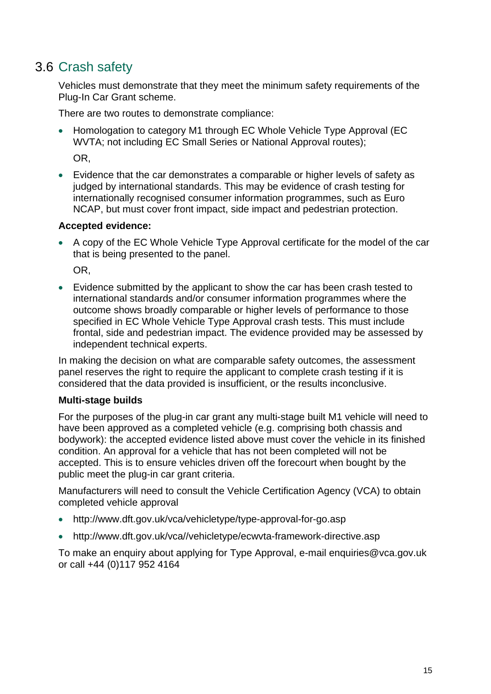## 3.6 Crash safety

Vehicles must demonstrate that they meet the minimum safety requirements of the Plug-In Car Grant scheme.

There are two routes to demonstrate compliance:

• Homologation to category M1 through EC Whole Vehicle Type Approval (EC WVTA; not including EC Small Series or National Approval routes);

OR,

• Evidence that the car demonstrates a comparable or higher levels of safety as judged by international standards. This may be evidence of crash testing for internationally recognised consumer information programmes, such as Euro NCAP, but must cover front impact, side impact and pedestrian protection.

#### **Accepted evidence:**

• A copy of the EC Whole Vehicle Type Approval certificate for the model of the car that is being presented to the panel.

OR,

• Evidence submitted by the applicant to show the car has been crash tested to international standards and/or consumer information programmes where the outcome shows broadly comparable or higher levels of performance to those specified in EC Whole Vehicle Type Approval crash tests. This must include frontal, side and pedestrian impact. The evidence provided may be assessed by independent technical experts.

In making the decision on what are comparable safety outcomes, the assessment panel reserves the right to require the applicant to complete crash testing if it is considered that the data provided is insufficient, or the results inconclusive.

#### **Multi-stage builds**

For the purposes of the plug-in car grant any multi-stage built M1 vehicle will need to have been approved as a completed vehicle (e.g. comprising both chassis and bodywork): the accepted evidence listed above must cover the vehicle in its finished condition. An approval for a vehicle that has not been completed will not be accepted. This is to ensure vehicles driven off the forecourt when bought by the public meet the plug-in car grant criteria.

Manufacturers will need to consult the Vehicle Certification Agency (VCA) to obtain completed vehicle approval

- <http://www.dft.gov.uk/vca/vehicletype/type-approval-for-go.asp>
- [http://www.dft.gov.uk/vca//vehicletype/ecwvta-framework-directive.asp](http://www.dft.gov.uk/vca/vehicletype/ecwvta-framework-directive.asp)

To make an enquiry about applying for Type Approval, e-mail [enquiries@vca.gov.uk](mailto:enquiries@vca.gov.uk) or call +44 (0)117 952 4164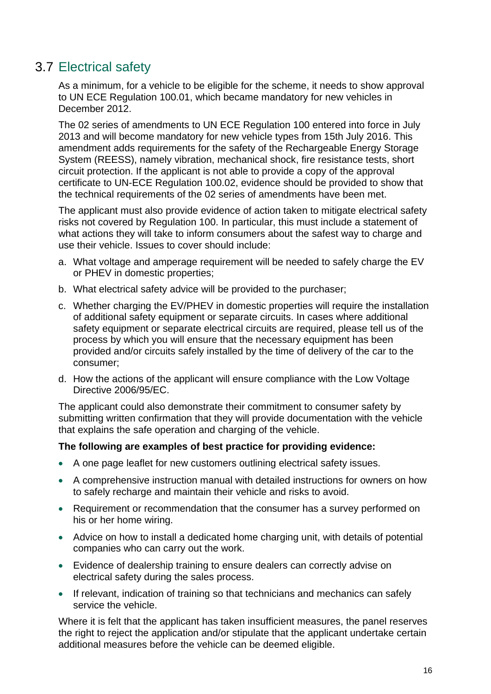## 3.7 Electrical safety

As a minimum, for a vehicle to be eligible for the scheme, it needs to show approval to UN ECE Regulation 100.01, which became mandatory for new vehicles in December 2012.

The 02 series of amendments to UN ECE Regulation 100 entered into force in July 2013 and will become mandatory for new vehicle types from 15th July 2016. This amendment adds requirements for the safety of the Rechargeable Energy Storage System (REESS), namely vibration, mechanical shock, fire resistance tests, short circuit protection. If the applicant is not able to provide a copy of the approval certificate to UN-ECE Regulation 100.02, evidence should be provided to show that the technical requirements of the 02 series of amendments have been met.

The applicant must also provide evidence of action taken to mitigate electrical safety risks not covered by Regulation 100. In particular, this must include a statement of what actions they will take to inform consumers about the safest way to charge and use their vehicle. Issues to cover should include:

- a. What voltage and amperage requirement will be needed to safely charge the EV or PHEV in domestic properties;
- b. What electrical safety advice will be provided to the purchaser;
- c. Whether charging the EV/PHEV in domestic properties will require the installation of additional safety equipment or separate circuits. In cases where additional safety equipment or separate electrical circuits are required, please tell us of the process by which you will ensure that the necessary equipment has been provided and/or circuits safely installed by the time of delivery of the car to the consumer;
- d. How the actions of the applicant will ensure compliance with the Low Voltage Directive 2006/95/EC.

The applicant could also demonstrate their commitment to consumer safety by submitting written confirmation that they will provide documentation with the vehicle that explains the safe operation and charging of the vehicle.

#### **The following are examples of best practice for providing evidence:**

- A one page leaflet for new customers outlining electrical safety issues.
- A comprehensive instruction manual with detailed instructions for owners on how to safely recharge and maintain their vehicle and risks to avoid.
- Requirement or recommendation that the consumer has a survey performed on his or her home wiring.
- Advice on how to install a dedicated home charging unit, with details of potential companies who can carry out the work.
- Evidence of dealership training to ensure dealers can correctly advise on electrical safety during the sales process.
- If relevant, indication of training so that technicians and mechanics can safely service the vehicle.

Where it is felt that the applicant has taken insufficient measures, the panel reserves the right to reject the application and/or stipulate that the applicant undertake certain additional measures before the vehicle can be deemed eligible.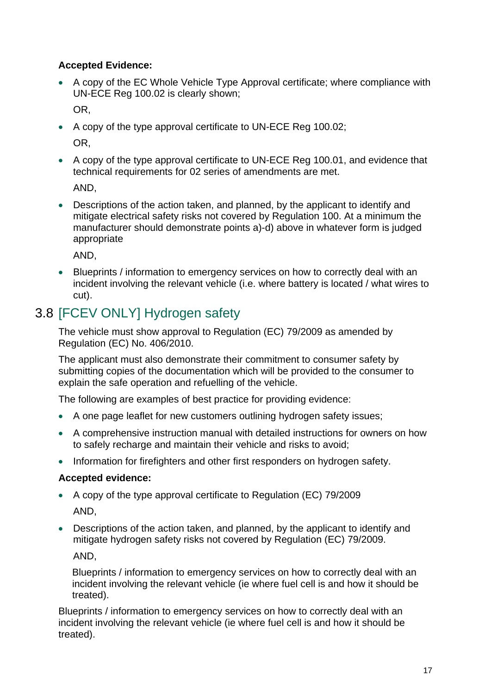#### **Accepted Evidence:**

• A copy of the EC Whole Vehicle Type Approval certificate; where compliance with UN-ECE Reg 100.02 is clearly shown;

OR,

• A copy of the type approval certificate to UN-ECE Reg 100.02;

OR,

• A copy of the type approval certificate to UN-ECE Reg 100.01, and evidence that technical requirements for 02 series of amendments are met.

AND,

• Descriptions of the action taken, and planned, by the applicant to identify and mitigate electrical safety risks not covered by Regulation 100. At a minimum the manufacturer should demonstrate points a)-d) above in whatever form is judged appropriate

AND,

• Blueprints / information to emergency services on how to correctly deal with an incident involving the relevant vehicle (i.e. where battery is located / what wires to cut).

## 3.8 [FCEV ONLY] Hydrogen safety

The vehicle must show approval to Regulation (EC) 79/2009 as amended by Regulation (EC) No. 406/2010.

The applicant must also demonstrate their commitment to consumer safety by submitting copies of the documentation which will be provided to the consumer to explain the safe operation and refuelling of the vehicle.

The following are examples of best practice for providing evidence:

- A one page leaflet for new customers outlining hydrogen safety issues;
- A comprehensive instruction manual with detailed instructions for owners on how to safely recharge and maintain their vehicle and risks to avoid;
- Information for firefighters and other first responders on hydrogen safety.

#### **Accepted evidence:**

- A copy of the type approval certificate to Regulation (EC) 79/2009 AND,
- Descriptions of the action taken, and planned, by the applicant to identify and mitigate hydrogen safety risks not covered by Regulation (EC) 79/2009. AND,

Blueprints / information to emergency services on how to correctly deal with an incident involving the relevant vehicle (ie where fuel cell is and how it should be treated).

Blueprints / information to emergency services on how to correctly deal with an incident involving the relevant vehicle (ie where fuel cell is and how it should be treated).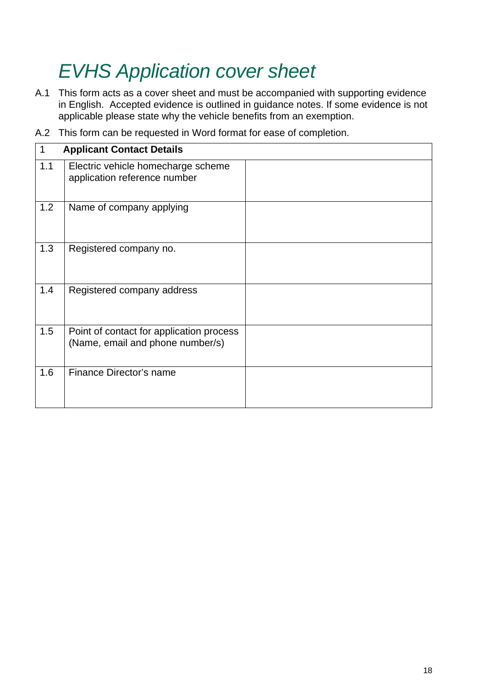# *EVHS Application cover sheet*

- A.1 This form acts as a cover sheet and must be accompanied with supporting evidence in English. Accepted evidence is outlined in guidance notes. If some evidence is not applicable please state why the vehicle benefits from an exemption.
- 1 **Applicant Contact Details** 1.1 Electric vehicle homecharge scheme application reference number 1.2 Name of company applying 1.3 Registered company no. 1.4 | Registered company address 1.5 | Point of contact for application process (Name, email and phone number/s) 1.6 Finance Director's name
- A.2 This form can be requested in Word format for ease of completion.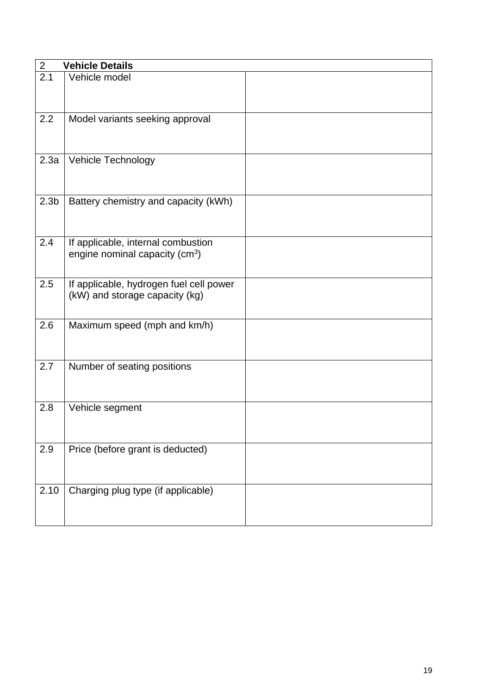| $\overline{2}$   | <b>Vehicle Details</b>                                                    |  |
|------------------|---------------------------------------------------------------------------|--|
| 2.1              | Vehicle model                                                             |  |
| 2.2              | Model variants seeking approval                                           |  |
| 2.3a             | Vehicle Technology                                                        |  |
| 2.3 <sub>b</sub> | Battery chemistry and capacity (kWh)                                      |  |
| 2.4              | If applicable, internal combustion<br>engine nominal capacity ( $cm3$ )   |  |
| 2.5              | If applicable, hydrogen fuel cell power<br>(kW) and storage capacity (kg) |  |
| 2.6              | Maximum speed (mph and km/h)                                              |  |
| 2.7              | Number of seating positions                                               |  |
| 2.8              | Vehicle segment                                                           |  |
| 2.9              | Price (before grant is deducted)                                          |  |
| 2.10             | Charging plug type (if applicable)                                        |  |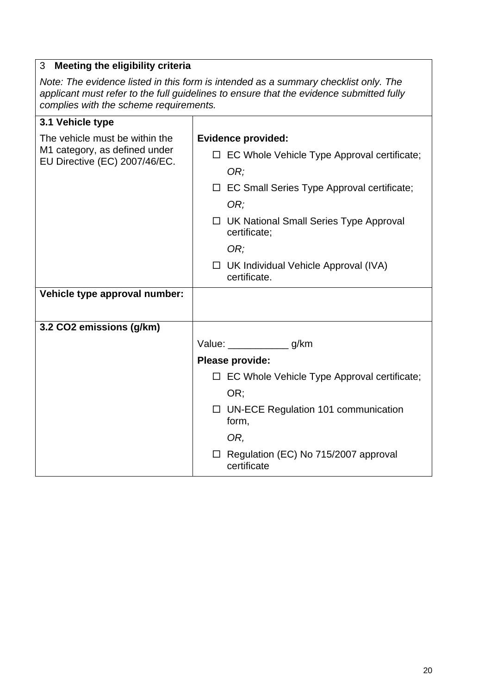#### 3 **Meeting the eligibility criteria**

*Note: The evidence listed in this form is intended as a summary checklist only. The applicant must refer to the full guidelines to ensure that the evidence submitted fully complies with the scheme requirements.*

| 3.1 Vehicle type                                               |                                                        |
|----------------------------------------------------------------|--------------------------------------------------------|
| The vehicle must be within the                                 | <b>Evidence provided:</b>                              |
| M1 category, as defined under<br>EU Directive (EC) 2007/46/EC. | EC Whole Vehicle Type Approval certificate;            |
|                                                                | OR;                                                    |
|                                                                | EC Small Series Type Approval certificate;             |
|                                                                | OR;                                                    |
|                                                                | UK National Small Series Type Approval<br>certificate; |
|                                                                | OR:                                                    |
|                                                                | UK Individual Vehicle Approval (IVA)<br>certificate.   |
| Vehicle type approval number:                                  |                                                        |
|                                                                |                                                        |
| 3.2 CO2 emissions (g/km)                                       |                                                        |
|                                                                | Value: ______________ g/km                             |
|                                                                | Please provide:                                        |
|                                                                | $\Box$ EC Whole Vehicle Type Approval certificate;     |
|                                                                | OR;                                                    |
|                                                                | $\Box$ UN-ECE Regulation 101 communication<br>form,    |
|                                                                | OR,                                                    |
|                                                                | Regulation (EC) No 715/2007 approval<br>certificate    |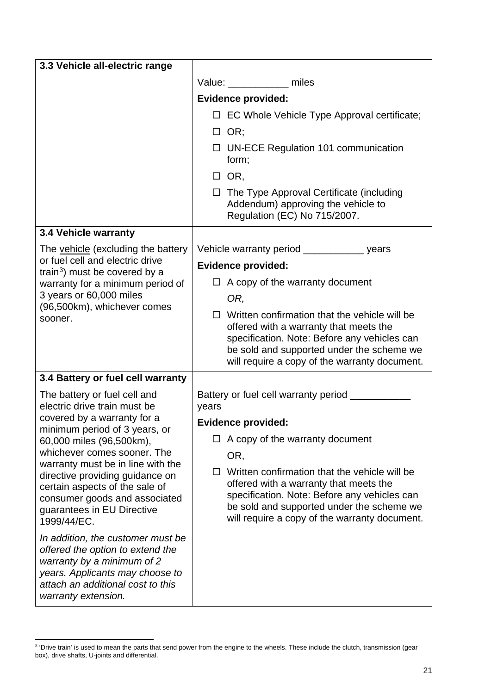| 3.3 Vehicle all-electric range                                                                                                                                                                     |                                                                                                                                                                                                                                            |
|----------------------------------------------------------------------------------------------------------------------------------------------------------------------------------------------------|--------------------------------------------------------------------------------------------------------------------------------------------------------------------------------------------------------------------------------------------|
|                                                                                                                                                                                                    | Value: _____________ miles                                                                                                                                                                                                                 |
|                                                                                                                                                                                                    | <b>Evidence provided:</b>                                                                                                                                                                                                                  |
|                                                                                                                                                                                                    | EC Whole Vehicle Type Approval certificate;<br>$\Box$                                                                                                                                                                                      |
|                                                                                                                                                                                                    | $\Box$ OR;                                                                                                                                                                                                                                 |
|                                                                                                                                                                                                    | $\Box$ UN-ECE Regulation 101 communication<br>form;                                                                                                                                                                                        |
|                                                                                                                                                                                                    | $\Box$ OR,                                                                                                                                                                                                                                 |
|                                                                                                                                                                                                    | $\Box$ The Type Approval Certificate (including<br>Addendum) approving the vehicle to<br>Regulation (EC) No 715/2007.                                                                                                                      |
| <b>3.4 Vehicle warranty</b>                                                                                                                                                                        |                                                                                                                                                                                                                                            |
| The vehicle (excluding the battery<br>or fuel cell and electric drive<br>train <sup>3</sup> ) must be covered by a<br>warranty for a minimum period of                                             | Vehicle warranty period ____________ years                                                                                                                                                                                                 |
|                                                                                                                                                                                                    | <b>Evidence provided:</b>                                                                                                                                                                                                                  |
|                                                                                                                                                                                                    | $\Box$ A copy of the warranty document                                                                                                                                                                                                     |
| 3 years or 60,000 miles<br>(96,500km), whichever comes                                                                                                                                             | OR,                                                                                                                                                                                                                                        |
| sooner.                                                                                                                                                                                            | Written confirmation that the vehicle will be<br>П<br>offered with a warranty that meets the<br>specification. Note: Before any vehicles can<br>be sold and supported under the scheme we<br>will require a copy of the warranty document. |
| 3.4 Battery or fuel cell warranty                                                                                                                                                                  |                                                                                                                                                                                                                                            |
| The battery or fuel cell and                                                                                                                                                                       | Battery or fuel cell warranty period                                                                                                                                                                                                       |
| electric drive train must be<br>covered by a warranty for a                                                                                                                                        | years                                                                                                                                                                                                                                      |
| minimum period of 3 years, or                                                                                                                                                                      | <b>Evidence provided:</b>                                                                                                                                                                                                                  |
| 60,000 miles (96,500km),<br>whichever comes sooner. The                                                                                                                                            | A copy of the warranty document<br>$\Box$                                                                                                                                                                                                  |
| warranty must be in line with the                                                                                                                                                                  | OR,                                                                                                                                                                                                                                        |
| directive providing guidance on<br>certain aspects of the sale of<br>consumer goods and associated<br>guarantees in EU Directive<br>1999/44/EC.                                                    | Written confirmation that the vehicle will be<br>□<br>offered with a warranty that meets the<br>specification. Note: Before any vehicles can<br>be sold and supported under the scheme we<br>will require a copy of the warranty document. |
| In addition, the customer must be<br>offered the option to extend the<br>warranty by a minimum of 2<br>years. Applicants may choose to<br>attach an additional cost to this<br>warranty extension. |                                                                                                                                                                                                                                            |

<span id="page-20-0"></span> $\overline{a}$ <sup>3</sup> 'Drive train' is used to mean the parts that send power from the engine to the wheels. These include the clutch, transmission (gear box), drive shafts, U-joints and differential.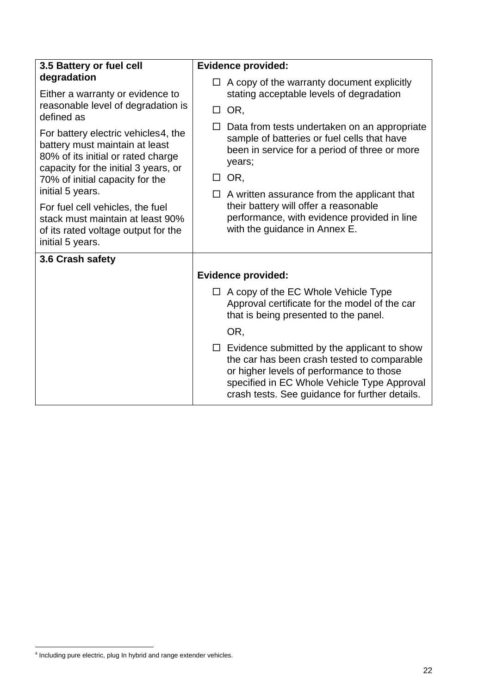| 3.5 Battery or fuel cell                                                                                                                                                                                   | <b>Evidence provided:</b>                                                                                                                                                                                                                      |  |
|------------------------------------------------------------------------------------------------------------------------------------------------------------------------------------------------------------|------------------------------------------------------------------------------------------------------------------------------------------------------------------------------------------------------------------------------------------------|--|
| degradation<br>Either a warranty or evidence to<br>reasonable level of degradation is<br>defined as                                                                                                        | $\Box$ A copy of the warranty document explicitly<br>stating acceptable levels of degradation                                                                                                                                                  |  |
|                                                                                                                                                                                                            | $\Box$ OR,                                                                                                                                                                                                                                     |  |
| For battery electric vehicles4, the<br>battery must maintain at least<br>80% of its initial or rated charge<br>capacity for the initial 3 years, or<br>70% of initial capacity for the<br>initial 5 years. | Data from tests undertaken on an appropriate<br>$\Box$<br>sample of batteries or fuel cells that have<br>been in service for a period of three or more<br>years;                                                                               |  |
|                                                                                                                                                                                                            | OR,<br>$\Box$                                                                                                                                                                                                                                  |  |
|                                                                                                                                                                                                            | A written assurance from the applicant that<br>$\Box$                                                                                                                                                                                          |  |
| For fuel cell vehicles, the fuel<br>stack must maintain at least 90%<br>of its rated voltage output for the<br>initial 5 years.                                                                            | their battery will offer a reasonable<br>performance, with evidence provided in line<br>with the guidance in Annex E.                                                                                                                          |  |
| 3.6 Crash safety                                                                                                                                                                                           |                                                                                                                                                                                                                                                |  |
|                                                                                                                                                                                                            | <b>Evidence provided:</b>                                                                                                                                                                                                                      |  |
|                                                                                                                                                                                                            | $\Box$ A copy of the EC Whole Vehicle Type<br>Approval certificate for the model of the car<br>that is being presented to the panel.                                                                                                           |  |
|                                                                                                                                                                                                            | OR,                                                                                                                                                                                                                                            |  |
|                                                                                                                                                                                                            | $\Box$ Evidence submitted by the applicant to show<br>the car has been crash tested to comparable<br>or higher levels of performance to those<br>specified in EC Whole Vehicle Type Approval<br>crash tests. See guidance for further details. |  |

<span id="page-21-0"></span> 4 Including pure electric, plug In hybrid and range extender vehicles.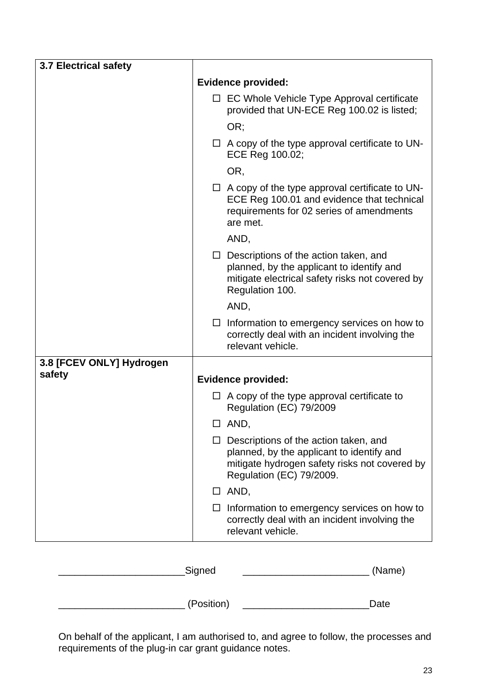| <b>3.7 Electrical safety</b> |        |                                                                                                                                                                        |
|------------------------------|--------|------------------------------------------------------------------------------------------------------------------------------------------------------------------------|
|                              |        | <b>Evidence provided:</b>                                                                                                                                              |
|                              |        | $\Box$ EC Whole Vehicle Type Approval certificate<br>provided that UN-ECE Reg 100.02 is listed;                                                                        |
|                              |        | OR;                                                                                                                                                                    |
|                              |        | $\Box$ A copy of the type approval certificate to UN-<br>ECE Reg 100.02;                                                                                               |
|                              |        | OR,                                                                                                                                                                    |
|                              |        | $\Box$ A copy of the type approval certificate to UN-<br>ECE Reg 100.01 and evidence that technical<br>requirements for 02 series of amendments<br>are met.            |
|                              |        | AND,                                                                                                                                                                   |
|                              |        | $\Box$ Descriptions of the action taken, and<br>planned, by the applicant to identify and<br>mitigate electrical safety risks not covered by<br>Regulation 100.        |
|                              |        | AND,                                                                                                                                                                   |
|                              | $\Box$ | Information to emergency services on how to<br>correctly deal with an incident involving the<br>relevant vehicle.                                                      |
| 3.8 [FCEV ONLY] Hydrogen     |        |                                                                                                                                                                        |
| safety                       |        | <b>Evidence provided:</b>                                                                                                                                              |
|                              | $\Box$ | A copy of the type approval certificate to<br>Regulation (EC) 79/2009                                                                                                  |
|                              | ⊔      | AND,                                                                                                                                                                   |
|                              |        | $\Box$ Descriptions of the action taken, and<br>planned, by the applicant to identify and<br>mitigate hydrogen safety risks not covered by<br>Regulation (EC) 79/2009. |
|                              |        | $\Box$ AND,                                                                                                                                                            |
|                              |        | Information to emergency services on how to<br>correctly deal with an incident involving the<br>relevant vehicle.                                                      |

| Signed     | (Name) |
|------------|--------|
| (Position) | Date   |

On behalf of the applicant, I am authorised to, and agree to follow, the processes and requirements of the plug-in car grant guidance notes.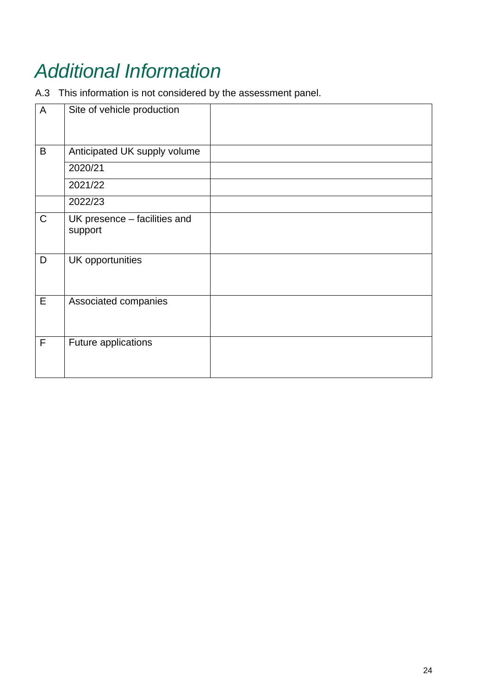# *Additional Information*

A.3 This information is not considered by the assessment panel.

| A           | Site of vehicle production              |  |
|-------------|-----------------------------------------|--|
| B           | Anticipated UK supply volume            |  |
|             | 2020/21                                 |  |
|             | 2021/22                                 |  |
|             | 2022/23                                 |  |
| $\mathsf C$ | UK presence - facilities and<br>support |  |
| D           | UK opportunities                        |  |
| E           | Associated companies                    |  |
| F           | Future applications                     |  |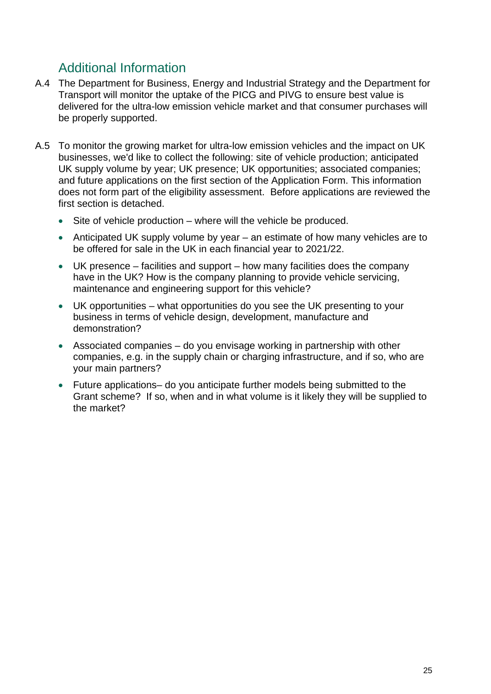## Additional Information

- A.4 The Department for Business, Energy and Industrial Strategy and the Department for Transport will monitor the uptake of the PICG and PIVG to ensure best value is delivered for the ultra-low emission vehicle market and that consumer purchases will be properly supported.
- A.5 To monitor the growing market for ultra-low emission vehicles and the impact on UK businesses, we'd like to collect the following: site of vehicle production; anticipated UK supply volume by year; UK presence; UK opportunities; associated companies; and future applications on the first section of the Application Form. This information does not form part of the eligibility assessment. Before applications are reviewed the first section is detached.
	- Site of vehicle production where will the vehicle be produced.
	- Anticipated UK supply volume by year an estimate of how many vehicles are to be offered for sale in the UK in each financial year to 2021/22.
	- UK presence facilities and support how many facilities does the company have in the UK? How is the company planning to provide vehicle servicing, maintenance and engineering support for this vehicle?
	- UK opportunities what opportunities do you see the UK presenting to your business in terms of vehicle design, development, manufacture and demonstration?
	- Associated companies do you envisage working in partnership with other companies, e.g. in the supply chain or charging infrastructure, and if so, who are your main partners?
	- Future applications– do you anticipate further models being submitted to the Grant scheme? If so, when and in what volume is it likely they will be supplied to the market?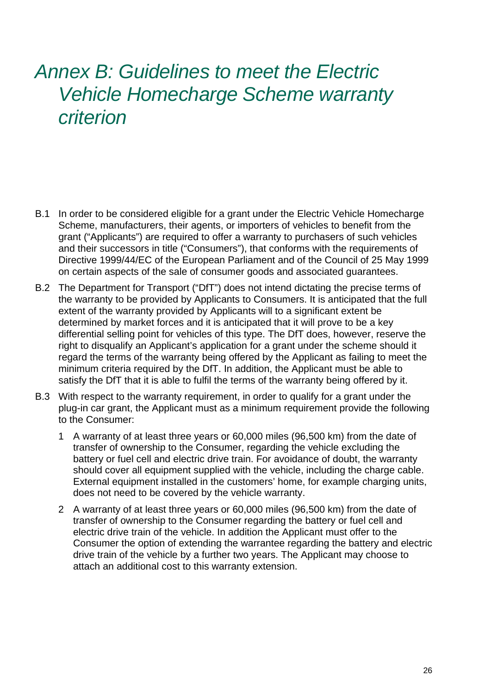## *Annex B: Guidelines to meet the Electric Vehicle Homecharge Scheme warranty criterion*

- B.1 In order to be considered eligible for a grant under the Electric Vehicle Homecharge Scheme, manufacturers, their agents, or importers of vehicles to benefit from the grant ("Applicants") are required to offer a warranty to purchasers of such vehicles and their successors in title ("Consumers"), that conforms with the requirements of Directive 1999/44/EC of the European Parliament and of the Council of 25 May 1999 on certain aspects of the sale of consumer goods and associated guarantees.
- B.2 The Department for Transport ("DfT") does not intend dictating the precise terms of the warranty to be provided by Applicants to Consumers. It is anticipated that the full extent of the warranty provided by Applicants will to a significant extent be determined by market forces and it is anticipated that it will prove to be a key differential selling point for vehicles of this type. The DfT does, however, reserve the right to disqualify an Applicant's application for a grant under the scheme should it regard the terms of the warranty being offered by the Applicant as failing to meet the minimum criteria required by the DfT. In addition, the Applicant must be able to satisfy the DfT that it is able to fulfil the terms of the warranty being offered by it.
- B.3 With respect to the warranty requirement, in order to qualify for a grant under the plug-in car grant, the Applicant must as a minimum requirement provide the following to the Consumer:
	- 1 A warranty of at least three years or 60,000 miles (96,500 km) from the date of transfer of ownership to the Consumer, regarding the vehicle excluding the battery or fuel cell and electric drive train. For avoidance of doubt, the warranty should cover all equipment supplied with the vehicle, including the charge cable. External equipment installed in the customers' home, for example charging units, does not need to be covered by the vehicle warranty.
	- 2 A warranty of at least three years or 60,000 miles (96,500 km) from the date of transfer of ownership to the Consumer regarding the battery or fuel cell and electric drive train of the vehicle. In addition the Applicant must offer to the Consumer the option of extending the warrantee regarding the battery and electric drive train of the vehicle by a further two years. The Applicant may choose to attach an additional cost to this warranty extension.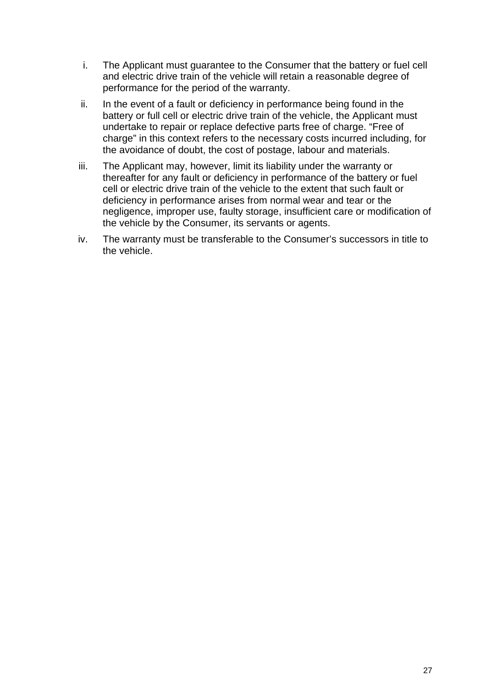- i. The Applicant must guarantee to the Consumer that the battery or fuel cell and electric drive train of the vehicle will retain a reasonable degree of performance for the period of the warranty.
- ii. In the event of a fault or deficiency in performance being found in the battery or full cell or electric drive train of the vehicle, the Applicant must undertake to repair or replace defective parts free of charge. "Free of charge" in this context refers to the necessary costs incurred including, for the avoidance of doubt, the cost of postage, labour and materials.
- iii. The Applicant may, however, limit its liability under the warranty or thereafter for any fault or deficiency in performance of the battery or fuel cell or electric drive train of the vehicle to the extent that such fault or deficiency in performance arises from normal wear and tear or the negligence, improper use, faulty storage, insufficient care or modification of the vehicle by the Consumer, its servants or agents.
- iv. The warranty must be transferable to the Consumer's successors in title to the vehicle.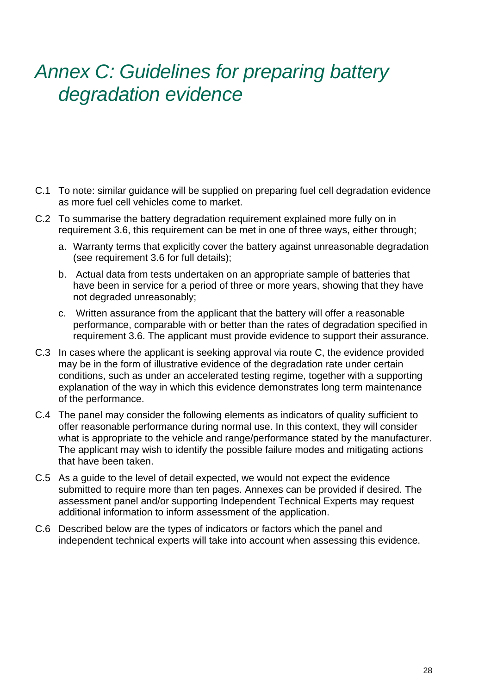## *Annex C: Guidelines for preparing battery degradation evidence*

- C.1 To note: similar guidance will be supplied on preparing fuel cell degradation evidence as more fuel cell vehicles come to market.
- C.2 To summarise the battery degradation requirement explained more fully on in requirement 3.6, this requirement can be met in one of three ways, either through;
	- a. Warranty terms that explicitly cover the battery against unreasonable degradation (see requirement 3.6 for full details);
	- b. Actual data from tests undertaken on an appropriate sample of batteries that have been in service for a period of three or more years, showing that they have not degraded unreasonably;
	- c. Written assurance from the applicant that the battery will offer a reasonable performance, comparable with or better than the rates of degradation specified in requirement 3.6. The applicant must provide evidence to support their assurance.
- C.3 In cases where the applicant is seeking approval via route C, the evidence provided may be in the form of illustrative evidence of the degradation rate under certain conditions, such as under an accelerated testing regime, together with a supporting explanation of the way in which this evidence demonstrates long term maintenance of the performance.
- C.4 The panel may consider the following elements as indicators of quality sufficient to offer reasonable performance during normal use. In this context, they will consider what is appropriate to the vehicle and range/performance stated by the manufacturer. The applicant may wish to identify the possible failure modes and mitigating actions that have been taken.
- C.5 As a guide to the level of detail expected, we would not expect the evidence submitted to require more than ten pages. Annexes can be provided if desired. The assessment panel and/or supporting Independent Technical Experts may request additional information to inform assessment of the application.
- C.6 Described below are the types of indicators or factors which the panel and independent technical experts will take into account when assessing this evidence.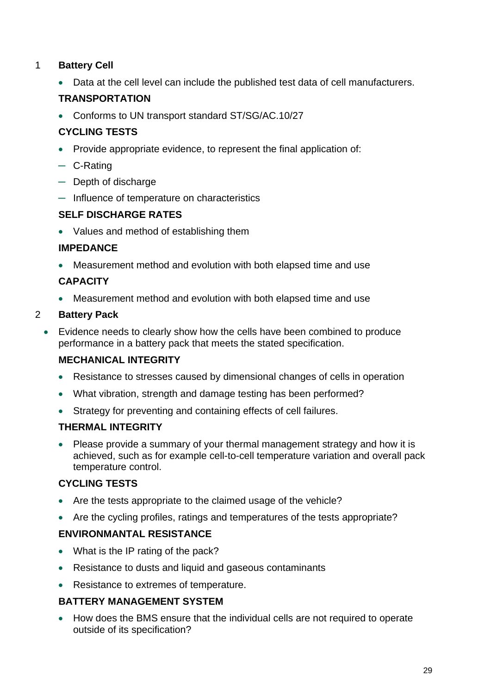#### 1 **Battery Cell**

• Data at the cell level can include the published test data of cell manufacturers.

#### **TRANSPORTATION**

• Conforms to UN transport standard ST/SG/AC.10/27

#### **CYCLING TESTS**

- Provide appropriate evidence, to represent the final application of:
- ─ C-Rating
- ─ Depth of discharge
- ─ Influence of temperature on characteristics

#### **SELF DISCHARGE RATES**

• Values and method of establishing them

#### **IMPEDANCE**

• Measurement method and evolution with both elapsed time and use

#### **CAPACITY**

• Measurement method and evolution with both elapsed time and use

#### 2 **Battery Pack**

• Evidence needs to clearly show how the cells have been combined to produce performance in a battery pack that meets the stated specification.

#### **MECHANICAL INTEGRITY**

- Resistance to stresses caused by dimensional changes of cells in operation
- What vibration, strength and damage testing has been performed?
- Strategy for preventing and containing effects of cell failures.

#### **THERMAL INTEGRITY**

• Please provide a summary of your thermal management strategy and how it is achieved, such as for example cell-to-cell temperature variation and overall pack temperature control.

#### **CYCLING TESTS**

- Are the tests appropriate to the claimed usage of the vehicle?
- Are the cycling profiles, ratings and temperatures of the tests appropriate?

#### **ENVIRONMANTAL RESISTANCE**

- What is the IP rating of the pack?
- Resistance to dusts and liquid and gaseous contaminants
- Resistance to extremes of temperature.

#### **BATTERY MANAGEMENT SYSTEM**

• How does the BMS ensure that the individual cells are not required to operate outside of its specification?